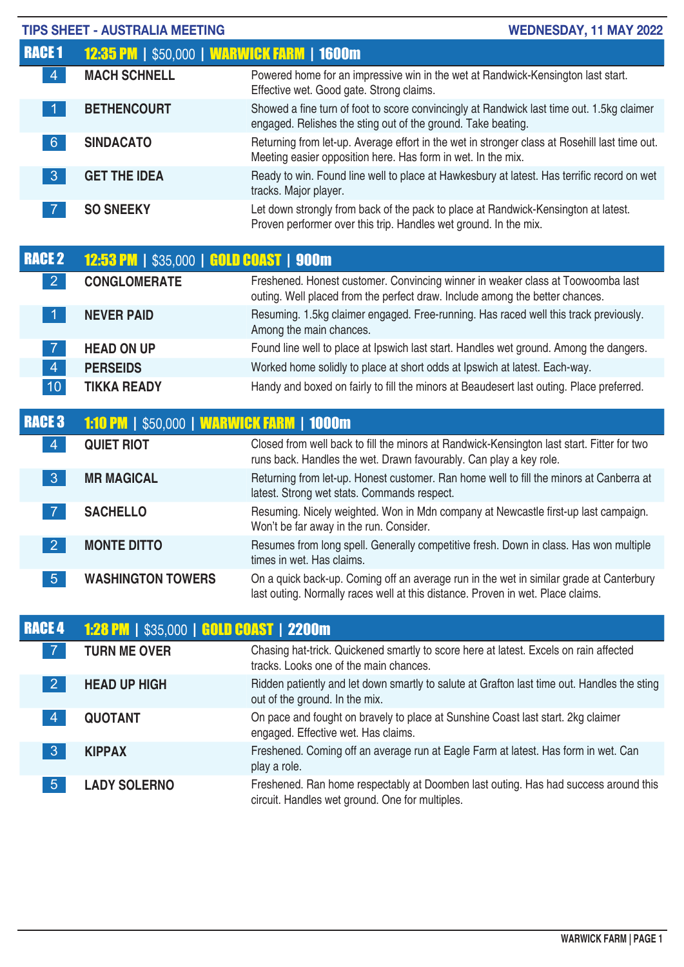| <b>TIPS SHEET - AUSTRALIA MEETING</b><br>WEDNESDAY, 11 MAY 2022 |                                                   |                                                                                                                                                                            |  |
|-----------------------------------------------------------------|---------------------------------------------------|----------------------------------------------------------------------------------------------------------------------------------------------------------------------------|--|
| <b>RACE 1</b>                                                   | <b>12:35 PM   \$50,000   WARWICK FARM   1600m</b> |                                                                                                                                                                            |  |
| 4 <sup>1</sup>                                                  | <b>MACH SCHNELL</b>                               | Powered home for an impressive win in the wet at Randwick-Kensington last start.<br>Effective wet. Good gate. Strong claims.                                               |  |
| $\vert$ 1                                                       | <b>BETHENCOURT</b>                                | Showed a fine turn of foot to score convincingly at Randwick last time out. 1.5kg claimer<br>engaged. Relishes the sting out of the ground. Take beating.                  |  |
| 6 <sup>°</sup>                                                  | <b>SINDACATO</b>                                  | Returning from let-up. Average effort in the wet in stronger class at Rosehill last time out.<br>Meeting easier opposition here. Has form in wet. In the mix.              |  |
| $\mathbf{3}$                                                    | <b>GET THE IDEA</b>                               | Ready to win. Found line well to place at Hawkesbury at latest. Has terrific record on wet<br>tracks. Major player.                                                        |  |
| $\overline{7}$                                                  | <b>SO SNEEKY</b>                                  | Let down strongly from back of the pack to place at Randwick-Kensington at latest.<br>Proven performer over this trip. Handles wet ground. In the mix.                     |  |
| <b>RACE 2</b>                                                   | <b>12:53 PM   \$35,000   GOLD COAST   900m</b>    |                                                                                                                                                                            |  |
| 2 <sup>1</sup>                                                  | <b>CONGLOMERATE</b>                               | Freshened. Honest customer. Convincing winner in weaker class at Toowoomba last<br>outing. Well placed from the perfect draw. Include among the better chances.            |  |
| $\vert$ 1                                                       | <b>NEVER PAID</b>                                 | Resuming. 1.5kg claimer engaged. Free-running. Has raced well this track previously.<br>Among the main chances.                                                            |  |
| $\overline{7}$                                                  | <b>HEAD ON UP</b>                                 | Found line well to place at Ipswich last start. Handles wet ground. Among the dangers.                                                                                     |  |
| $\overline{4}$                                                  | <b>PERSEIDS</b>                                   | Worked home solidly to place at short odds at Ipswich at latest. Each-way.                                                                                                 |  |
| 10                                                              | <b>TIKKA READY</b>                                | Handy and boxed on fairly to fill the minors at Beaudesert last outing. Place preferred.                                                                                   |  |
| <b>RACE 3</b>                                                   | <b>1:10 PM   \$50,000   WARWICK FARM   1000m</b>  |                                                                                                                                                                            |  |
| $\vert 4 \vert$                                                 | <b>QUIET RIOT</b>                                 | Closed from well back to fill the minors at Randwick-Kensington last start. Fitter for two<br>runs back. Handles the wet. Drawn favourably. Can play a key role.           |  |
| 3 <sup>°</sup>                                                  | <b>MR MAGICAL</b>                                 | Returning from let-up. Honest customer. Ran home well to fill the minors at Canberra at<br>latest. Strong wet stats. Commands respect.                                     |  |
| $\overline{7}$                                                  | <b>SACHELLO</b>                                   | Resuming. Nicely weighted. Won in Mdn company at Newcastle first-up last campaign.<br>Won't be far away in the run. Consider.                                              |  |
| $\overline{2}$                                                  | <b>MONTE DITTO</b>                                | Resumes from long spell. Generally competitive fresh. Down in class. Has won multiple<br>times in wet. Has claims.                                                         |  |
| 5 <sup>5</sup>                                                  | <b>WASHINGTON TOWERS</b>                          | On a quick back-up. Coming off an average run in the wet in similar grade at Canterbury<br>last outing. Normally races well at this distance. Proven in wet. Place claims. |  |
| <b>RACE 4</b>                                                   | <b>1:28 PM   \$35,000   GOLD COAST   2200m</b>    |                                                                                                                                                                            |  |
| $\overline{7}$                                                  | <b>TURN ME OVER</b>                               | Chasing hat-trick. Quickened smartly to score here at latest. Excels on rain affected<br>tracks. Looks one of the main chances.                                            |  |
| $\vert 2 \vert$                                                 | <b>HEAD UP HIGH</b>                               | Ridden patiently and let down smartly to salute at Grafton last time out. Handles the sting<br>out of the ground. In the mix.                                              |  |
| 4                                                               | <b>QUOTANT</b>                                    | On pace and fought on bravely to place at Sunshine Coast last start. 2kg claimer<br>engaged. Effective wet. Has claims.                                                    |  |
| $\mathbf{3}$                                                    | <b>KIPPAX</b>                                     | Freshened. Coming off an average run at Eagle Farm at latest. Has form in wet. Can<br>play a role.                                                                         |  |
| 5 <sup>5</sup>                                                  | <b>LADY SOLERNO</b>                               | Freshened. Ran home respectably at Doomben last outing. Has had success around this<br>circuit. Handles wet ground. One for multiples.                                     |  |